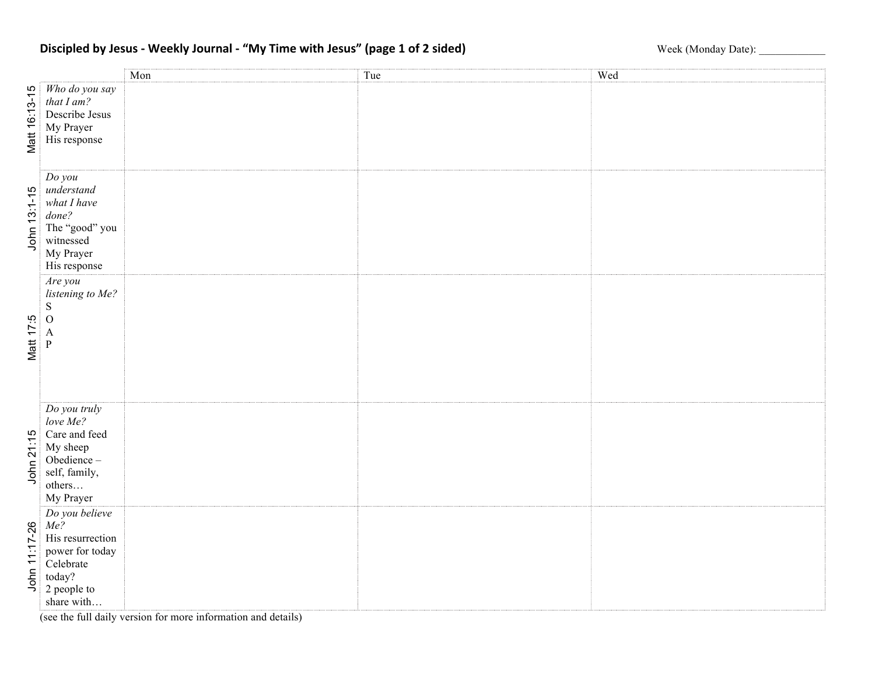## Discipled by Jesus - Weekly Journal - "My Time with Jesus" (page 1 of 2 sided) Week (Monday Date): \_\_\_\_\_\_\_\_\_\_\_

|               |                                                                                                                  | Mon | Tue | Wed |
|---------------|------------------------------------------------------------------------------------------------------------------|-----|-----|-----|
| Matt 16:13-15 | Who do you say<br>that I am?<br>Describe Jesus<br>My Prayer<br>His response                                      |     |     |     |
| John 13:1-15  | Do you<br>understand<br>what I have<br>done?<br>The "good" you<br>witnessed<br>My Prayer<br>His response         |     |     |     |
| Matt 17:5     | Are you<br>listening to Me?<br>${\bf S}$<br>$\overline{O}$<br>$\mathbf{A}$<br>$\mathbf{P}$                       |     |     |     |
| John 21:15    | Do you truly<br>love Me?<br>Care and feed<br>My sheep<br>Obedience-<br>self, family,<br>others<br>My Prayer      |     |     |     |
| John 11:17-26 | Do you believe<br>Me?<br>His resurrection<br>power for today<br>Celebrate<br>today?<br>2 people to<br>share with |     |     |     |

(see the full daily version for more information and details)